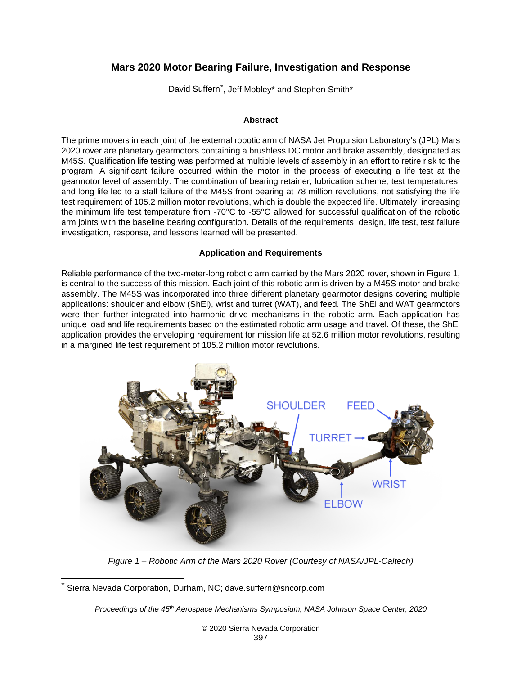# **Mars 2020 Motor Bearing Failure, Investigation and Response**

David Suffern<sup>\*</sup>, Jeff Mobley\* and Stephen Smith\*

#### **Abstract**

The prime movers in each joint of the external robotic arm of NASA Jet Propulsion Laboratory's (JPL) Mars 2020 rover are planetary gearmotors containing a brushless DC motor and brake assembly, designated as M45S. Qualification life testing was performed at multiple levels of assembly in an effort to retire risk to the program. A significant failure occurred within the motor in the process of executing a life test at the gearmotor level of assembly. The combination of bearing retainer, lubrication scheme, test temperatures, and long life led to a stall failure of the M45S front bearing at 78 million revolutions, not satisfying the life test requirement of 105.2 million motor revolutions, which is double the expected life. Ultimately, increasing the minimum life test temperature from -70°C to -55°C allowed for successful qualification of the robotic arm joints with the baseline bearing configuration. Details of the requirements, design, life test, test failure investigation, response, and lessons learned will be presented.

#### **Application and Requirements**

Reliable performance of the two-meter-long robotic arm carried by the Mars 2020 rover, shown in [Figure 1,](#page-0-0) is central to the success of this mission. Each joint of this robotic arm is driven by a M45S motor and brake assembly. The M45S was incorporated into three different planetary gearmotor designs covering multiple applications: shoulder and elbow (ShEl), wrist and turret (WAT), and feed. The ShEl and WAT gearmotors were then further integrated into harmonic drive mechanisms in the robotic arm. Each application has unique load and life requirements based on the estimated robotic arm usage and travel. Of these, the ShEl application provides the enveloping requirement for mission life at 52.6 million motor revolutions, resulting in a margined life test requirement of 105.2 million motor revolutions.



*Figure 1 – Robotic Arm of the Mars 2020 Rover (Courtesy of NASA/JPL-Caltech)*

*Proceedings of the 45th Aerospace Mechanisms Symposium, NASA Johnson Space Center, 2020*

<span id="page-0-1"></span><span id="page-0-0"></span>Sierra Nevada Corporation, Durham, NC; dave.suffern@sncorp.com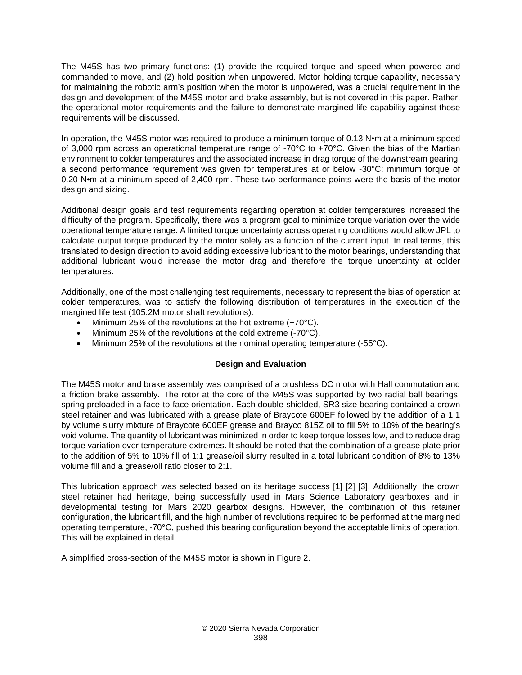The M45S has two primary functions: (1) provide the required torque and speed when powered and commanded to move, and (2) hold position when unpowered. Motor holding torque capability, necessary for maintaining the robotic arm's position when the motor is unpowered, was a crucial requirement in the design and development of the M45S motor and brake assembly, but is not covered in this paper. Rather, the operational motor requirements and the failure to demonstrate margined life capability against those requirements will be discussed.

In operation, the M45S motor was required to produce a minimum torque of 0.13 N•m at a minimum speed of 3,000 rpm across an operational temperature range of -70 $\degree$ C to +70 $\degree$ C. Given the bias of the Martian environment to colder temperatures and the associated increase in drag torque of the downstream gearing, a second performance requirement was given for temperatures at or below -30°C: minimum torque of 0.20 N•m at a minimum speed of 2,400 rpm. These two performance points were the basis of the motor design and sizing.

Additional design goals and test requirements regarding operation at colder temperatures increased the difficulty of the program. Specifically, there was a program goal to minimize torque variation over the wide operational temperature range. A limited torque uncertainty across operating conditions would allow JPL to calculate output torque produced by the motor solely as a function of the current input. In real terms, this translated to design direction to avoid adding excessive lubricant to the motor bearings, understanding that additional lubricant would increase the motor drag and therefore the torque uncertainty at colder temperatures.

Additionally, one of the most challenging test requirements, necessary to represent the bias of operation at colder temperatures, was to satisfy the following distribution of temperatures in the execution of the margined life test (105.2M motor shaft revolutions):

- Minimum 25% of the revolutions at the hot extreme (+70°C).
- Minimum 25% of the revolutions at the cold extreme (-70°C).
- Minimum 25% of the revolutions at the nominal operating temperature (-55°C).

### **Design and Evaluation**

The M45S motor and brake assembly was comprised of a brushless DC motor with Hall commutation and a friction brake assembly. The rotor at the core of the M45S was supported by two radial ball bearings, spring preloaded in a face-to-face orientation. Each double-shielded, SR3 size bearing contained a crown steel retainer and was lubricated with a grease plate of Braycote 600EF followed by the addition of a 1:1 by volume slurry mixture of Braycote 600EF grease and Brayco 815Z oil to fill 5% to 10% of the bearing's void volume. The quantity of lubricant was minimized in order to keep torque losses low, and to reduce drag torque variation over temperature extremes. It should be noted that the combination of a grease plate prior to the addition of 5% to 10% fill of 1:1 grease/oil slurry resulted in a total lubricant condition of 8% to 13% volume fill and a grease/oil ratio closer to 2:1.

This lubrication approach was selected based on its heritage success [1] [2] [3]. Additionally, the crown steel retainer had heritage, being successfully used in Mars Science Laboratory gearboxes and in developmental testing for Mars 2020 gearbox designs. However, the combination of this retainer configuration, the lubricant fill, and the high number of revolutions required to be performed at the margined operating temperature, -70°C, pushed this bearing configuration beyond the acceptable limits of operation. This will be explained in detail.

A simplified cross-section of the M45S motor is shown in [Figure 2.](#page-2-0)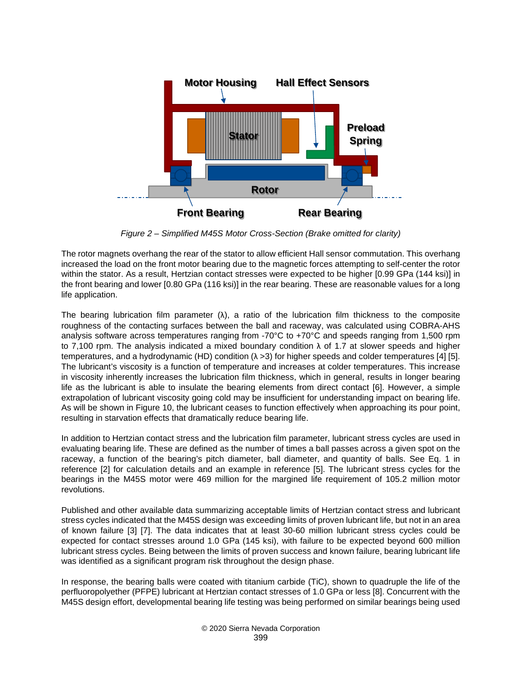

*Figure 2 – Simplified M45S Motor Cross-Section (Brake omitted for clarity)*

<span id="page-2-0"></span>The rotor magnets overhang the rear of the stator to allow efficient Hall sensor commutation. This overhang increased the load on the front motor bearing due to the magnetic forces attempting to self-center the rotor within the stator. As a result, Hertzian contact stresses were expected to be higher [0.99 GPa (144 ksi)] in the front bearing and lower [0.80 GPa (116 ksi)] in the rear bearing. These are reasonable values for a long life application.

The bearing lubrication film parameter  $(\lambda)$ , a ratio of the lubrication film thickness to the composite roughness of the contacting surfaces between the ball and raceway, was calculated using COBRA-AHS analysis software across temperatures ranging from -70°C to +70°C and speeds ranging from 1,500 rpm to 7,100 rpm. The analysis indicated a mixed boundary condition  $\lambda$  of 1.7 at slower speeds and higher temperatures, and a hydrodynamic (HD) condition ( $\lambda$  >3) for higher speeds and colder temperatures [4] [5]. The lubricant's viscosity is a function of temperature and increases at colder temperatures. This increase in viscosity inherently increases the lubrication film thickness, which in general, results in longer bearing life as the lubricant is able to insulate the bearing elements from direct contact [6]. However, a simple extrapolation of lubricant viscosity going cold may be insufficient for understanding impact on bearing life. As will be shown in [Figure 10,](#page-10-0) the lubricant ceases to function effectively when approaching its pour point, resulting in starvation effects that dramatically reduce bearing life.

In addition to Hertzian contact stress and the lubrication film parameter, lubricant stress cycles are used in evaluating bearing life. These are defined as the number of times a ball passes across a given spot on the raceway, a function of the bearing's pitch diameter, ball diameter, and quantity of balls. See Eq. 1 in reference [2] for calculation details and an example in reference [5]. The lubricant stress cycles for the bearings in the M45S motor were 469 million for the margined life requirement of 105.2 million motor revolutions.

Published and other available data summarizing acceptable limits of Hertzian contact stress and lubricant stress cycles indicated that the M45S design was exceeding limits of proven lubricant life, but not in an area of known failure [3] [7]. The data indicates that at least 30-60 million lubricant stress cycles could be expected for contact stresses around 1.0 GPa (145 ksi), with failure to be expected beyond 600 million lubricant stress cycles. Being between the limits of proven success and known failure, bearing lubricant life was identified as a significant program risk throughout the design phase.

In response, the bearing balls were coated with titanium carbide (TiC), shown to quadruple the life of the perfluoropolyether (PFPE) lubricant at Hertzian contact stresses of 1.0 GPa or less [8]. Concurrent with the M45S design effort, developmental bearing life testing was being performed on similar bearings being used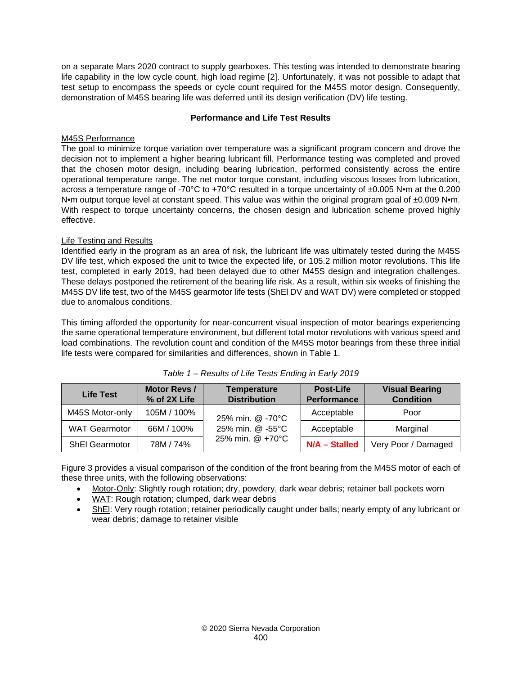on a separate Mars 2020 contract to supply gearboxes. This testing was intended to demonstrate bearing life capability in the low cycle count, high load regime [2]. Unfortunately, it was not possible to adapt that test setup to encompass the speeds or cycle count required for the M45S motor design. Consequently, demonstration of M45S bearing life was deferred until its design verification (DV) life testing.

### **Performance and Life Test Results**

### M45S Performance

The goal to minimize torque variation over temperature was a significant program concern and drove the decision not to implement a higher bearing lubricant fill. Performance testing was completed and proved that the chosen motor design, including bearing lubrication, performed consistently across the entire operational temperature range. The net motor torque constant, including viscous losses from lubrication, across a temperature range of -70°C to +70°C resulted in a torque uncertainty of ±0.005 N•m at the 0.200 N•m output torque level at constant speed. This value was within the original program goal of ±0.009 N•m. With respect to torque uncertainty concerns, the chosen design and lubrication scheme proved highly effective.

### Life Testing and Results

Identified early in the program as an area of risk, the lubricant life was ultimately tested during the M45S DV life test, which exposed the unit to twice the expected life, or 105.2 million motor revolutions. This life test, completed in early 2019, had been delayed due to other M45S design and integration challenges. These delays postponed the retirement of the bearing life risk. As a result, within six weeks of finishing the M45S DV life test, two of the M45S gearmotor life tests (ShEl DV and WAT DV) were completed or stopped due to anomalous conditions.

This timing afforded the opportunity for near-concurrent visual inspection of motor bearings experiencing the same operational temperature environment, but different total motor revolutions with various speed and load combinations. The revolution count and condition of the M45S motor bearings from these three initial life tests were compared for similarities and differences, shown in [Table 1.](#page-3-0)

<span id="page-3-0"></span>

| <b>Life Test</b>      | Motor Revs /<br>% of 2X Life | <b>Temperature</b><br><b>Distribution</b> | <b>Post-Life</b><br><b>Performance</b> | <b>Visual Bearing</b><br><b>Condition</b> |  |
|-----------------------|------------------------------|-------------------------------------------|----------------------------------------|-------------------------------------------|--|
| M45S Motor-only       | 105M / 100%                  | 25% min. @ -70°C                          | Acceptable                             | Poor                                      |  |
| <b>WAT Gearmotor</b>  | 66M / 100%                   | $25\%$ min. $@ - 55°C$                    | Acceptable                             | Marginal                                  |  |
| <b>ShEI Gearmotor</b> | 78M / 74%                    | 25% min. @ +70°C                          | N/A - Stalled                          | Very Poor / Damaged                       |  |

[Figure 3](#page-4-0) provides a visual comparison of the condition of the front bearing from the M45S motor of each of these three units, with the following observations:

- Motor-Only: Slightly rough rotation; dry, powdery, dark wear debris; retainer ball pockets worn
- WAT: Rough rotation; clumped, dark wear debris
- ShEl: Very rough rotation; retainer periodically caught under balls; nearly empty of any lubricant or wear debris; damage to retainer visible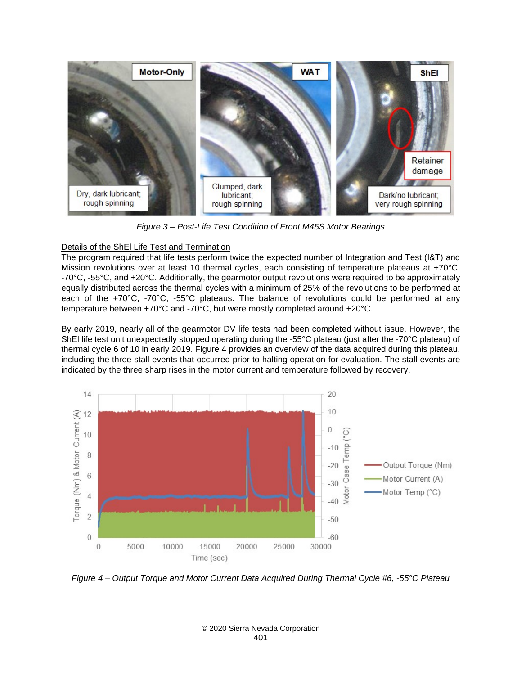<span id="page-4-0"></span>

*Figure 3 – Post-Life Test Condition of Front M45S Motor Bearings*

### Details of the ShEl Life Test and Termination

The program required that life tests perform twice the expected number of Integration and Test (I&T) and Mission revolutions over at least 10 thermal cycles, each consisting of temperature plateaus at +70°C, -70°C, -55°C, and +20°C. Additionally, the gearmotor output revolutions were required to be approximately equally distributed across the thermal cycles with a minimum of 25% of the revolutions to be performed at each of the +70°C, -70°C, -55°C plateaus. The balance of revolutions could be performed at any temperature between +70°C and -70°C, but were mostly completed around +20°C.

By early 2019, nearly all of the gearmotor DV life tests had been completed without issue. However, the ShEl life test unit unexpectedly stopped operating during the -55°C plateau (just after the -70°C plateau) of thermal cycle 6 of 10 in early 2019. [Figure 4](#page-4-1) provides an overview of the data acquired during this plateau, including the three stall events that occurred prior to halting operation for evaluation. The stall events are indicated by the three sharp rises in the motor current and temperature followed by recovery.



<span id="page-4-1"></span>*Figure 4 – Output Torque and Motor Current Data Acquired During Thermal Cycle #6, -55°C Plateau*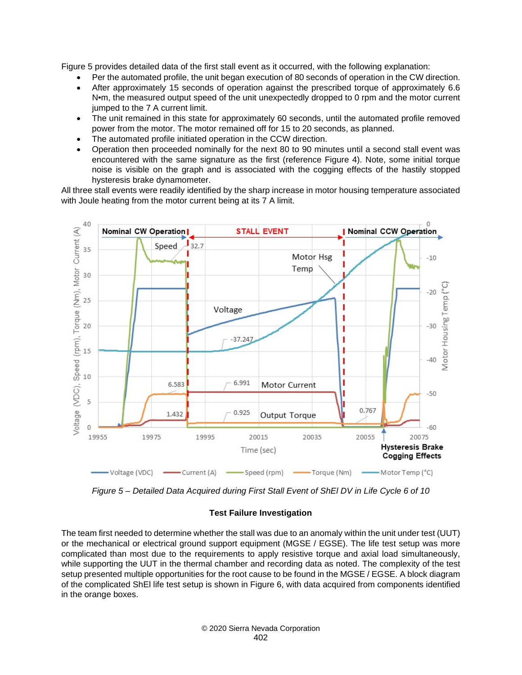[Figure 5](#page-5-0) provides detailed data of the first stall event as it occurred, with the following explanation:

- Per the automated profile, the unit began execution of 80 seconds of operation in the CW direction.
- After approximately 15 seconds of operation against the prescribed torque of approximately 6.6 N•m, the measured output speed of the unit unexpectedly dropped to 0 rpm and the motor current jumped to the 7 A current limit.
- The unit remained in this state for approximately 60 seconds, until the automated profile removed power from the motor. The motor remained off for 15 to 20 seconds, as planned.
- The automated profile initiated operation in the CCW direction.
- Operation then proceeded nominally for the next 80 to 90 minutes until a second stall event was encountered with the same signature as the first (reference [Figure 4\)](#page-4-1). Note, some initial torque noise is visible on the graph and is associated with the cogging effects of the hastily stopped hysteresis brake dynamometer.

All three stall events were readily identified by the sharp increase in motor housing temperature associated with Joule heating from the motor current being at its 7 A limit.



<span id="page-5-0"></span>*Figure 5 – Detailed Data Acquired during First Stall Event of ShEl DV in Life Cycle 6 of 10*

### **Test Failure Investigation**

The team first needed to determine whether the stall was due to an anomaly within the unit under test (UUT) or the mechanical or electrical ground support equipment (MGSE / EGSE). The life test setup was more complicated than most due to the requirements to apply resistive torque and axial load simultaneously, while supporting the UUT in the thermal chamber and recording data as noted. The complexity of the test setup presented multiple opportunities for the root cause to be found in the MGSE / EGSE. A block diagram of the complicated ShEl life test setup is shown in [Figure 6,](#page-6-0) with data acquired from components identified in the orange boxes.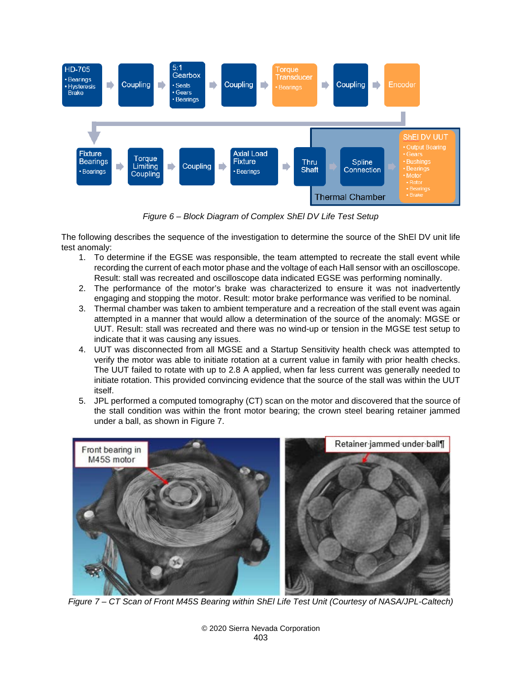

*Figure 6 – Block Diagram of Complex ShEl DV Life Test Setup*

<span id="page-6-0"></span>The following describes the sequence of the investigation to determine the source of the ShEl DV unit life test anomaly:

- 1. To determine if the EGSE was responsible, the team attempted to recreate the stall event while recording the current of each motor phase and the voltage of each Hall sensor with an oscilloscope. Result: stall was recreated and oscilloscope data indicated EGSE was performing nominally.
- 2. The performance of the motor's brake was characterized to ensure it was not inadvertently engaging and stopping the motor. Result: motor brake performance was verified to be nominal.
- 3. Thermal chamber was taken to ambient temperature and a recreation of the stall event was again attempted in a manner that would allow a determination of the source of the anomaly: MGSE or UUT. Result: stall was recreated and there was no wind-up or tension in the MGSE test setup to indicate that it was causing any issues.
- 4. UUT was disconnected from all MGSE and a Startup Sensitivity health check was attempted to verify the motor was able to initiate rotation at a current value in family with prior health checks. The UUT failed to rotate with up to 2.8 A applied, when far less current was generally needed to initiate rotation. This provided convincing evidence that the source of the stall was within the UUT itself.
- 5. JPL performed a computed tomography (CT) scan on the motor and discovered that the source of the stall condition was within the front motor bearing; the crown steel bearing retainer jammed under a ball, as shown in [Figure 7.](#page-6-1)

<span id="page-6-1"></span>

*Figure 7 – CT Scan of Front M45S Bearing within ShEl Life Test Unit (Courtesy of NASA/JPL-Caltech)*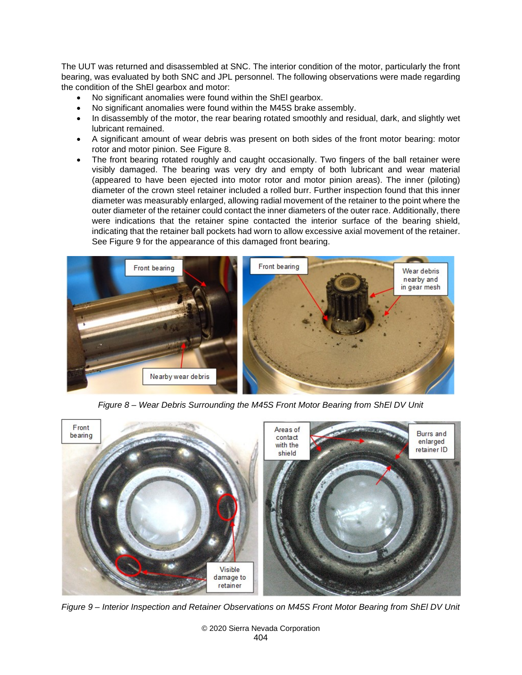The UUT was returned and disassembled at SNC. The interior condition of the motor, particularly the front bearing, was evaluated by both SNC and JPL personnel. The following observations were made regarding the condition of the ShEl gearbox and motor:

- No significant anomalies were found within the ShEl gearbox.
- No significant anomalies were found within the M45S brake assembly.
- In disassembly of the motor, the rear bearing rotated smoothly and residual, dark, and slightly wet lubricant remained.
- A significant amount of wear debris was present on both sides of the front motor bearing: motor rotor and motor pinion. See [Figure 8.](#page-7-0)
- The front bearing rotated roughly and caught occasionally. Two fingers of the ball retainer were visibly damaged. The bearing was very dry and empty of both lubricant and wear material (appeared to have been ejected into motor rotor and motor pinion areas). The inner (piloting) diameter of the crown steel retainer included a rolled burr. Further inspection found that this inner diameter was measurably enlarged, allowing radial movement of the retainer to the point where the outer diameter of the retainer could contact the inner diameters of the outer race. Additionally, there were indications that the retainer spine contacted the interior surface of the bearing shield, indicating that the retainer ball pockets had worn to allow excessive axial movement of the retainer. See [Figure 9](#page-7-1) for the appearance of this damaged front bearing.

<span id="page-7-0"></span>

*Figure 8 – Wear Debris Surrounding the M45S Front Motor Bearing from ShEl DV Unit*

<span id="page-7-1"></span>

*Figure 9 – Interior Inspection and Retainer Observations on M45S Front Motor Bearing from ShEl DV Unit*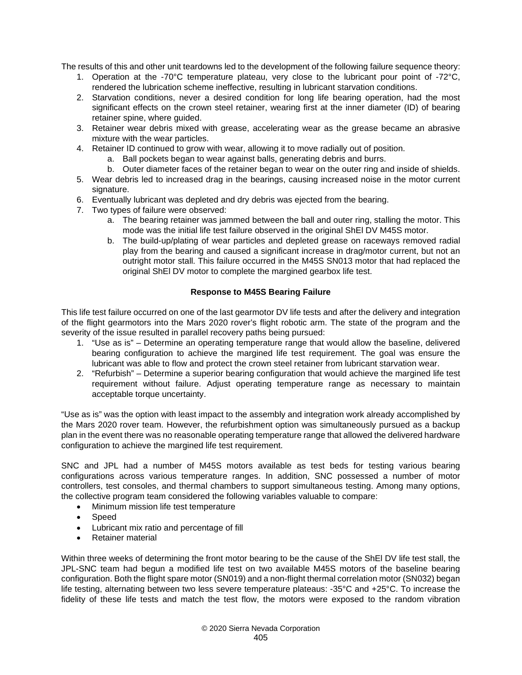The results of this and other unit teardowns led to the development of the following failure sequence theory:

- 1. Operation at the -70°C temperature plateau, very close to the lubricant pour point of -72°C, rendered the lubrication scheme ineffective, resulting in lubricant starvation conditions.
- 2. Starvation conditions, never a desired condition for long life bearing operation, had the most significant effects on the crown steel retainer, wearing first at the inner diameter (ID) of bearing retainer spine, where guided.
- 3. Retainer wear debris mixed with grease, accelerating wear as the grease became an abrasive mixture with the wear particles.
- 4. Retainer ID continued to grow with wear, allowing it to move radially out of position.
	- a. Ball pockets began to wear against balls, generating debris and burrs.
- b. Outer diameter faces of the retainer began to wear on the outer ring and inside of shields. 5. Wear debris led to increased drag in the bearings, causing increased noise in the motor current signature.
- 6. Eventually lubricant was depleted and dry debris was ejected from the bearing.
- 7. Two types of failure were observed:
	- a. The bearing retainer was jammed between the ball and outer ring, stalling the motor. This mode was the initial life test failure observed in the original ShEl DV M45S motor.
	- b. The build-up/plating of wear particles and depleted grease on raceways removed radial play from the bearing and caused a significant increase in drag/motor current, but not an outright motor stall. This failure occurred in the M45S SN013 motor that had replaced the original ShEl DV motor to complete the margined gearbox life test.

### **Response to M45S Bearing Failure**

This life test failure occurred on one of the last gearmotor DV life tests and after the delivery and integration of the flight gearmotors into the Mars 2020 rover's flight robotic arm. The state of the program and the severity of the issue resulted in parallel recovery paths being pursued:

- 1. "Use as is" Determine an operating temperature range that would allow the baseline, delivered bearing configuration to achieve the margined life test requirement. The goal was ensure the lubricant was able to flow and protect the crown steel retainer from lubricant starvation wear.
- 2. "Refurbish" Determine a superior bearing configuration that would achieve the margined life test requirement without failure. Adjust operating temperature range as necessary to maintain acceptable torque uncertainty.

"Use as is" was the option with least impact to the assembly and integration work already accomplished by the Mars 2020 rover team. However, the refurbishment option was simultaneously pursued as a backup plan in the event there was no reasonable operating temperature range that allowed the delivered hardware configuration to achieve the margined life test requirement.

SNC and JPL had a number of M45S motors available as test beds for testing various bearing configurations across various temperature ranges. In addition, SNC possessed a number of motor controllers, test consoles, and thermal chambers to support simultaneous testing. Among many options, the collective program team considered the following variables valuable to compare:

- Minimum mission life test temperature
- Speed
- Lubricant mix ratio and percentage of fill
- Retainer material

Within three weeks of determining the front motor bearing to be the cause of the ShEl DV life test stall, the JPL-SNC team had begun a modified life test on two available M45S motors of the baseline bearing configuration. Both the flight spare motor (SN019) and a non-flight thermal correlation motor (SN032) began life testing, alternating between two less severe temperature plateaus: -35°C and +25°C. To increase the fidelity of these life tests and match the test flow, the motors were exposed to the random vibration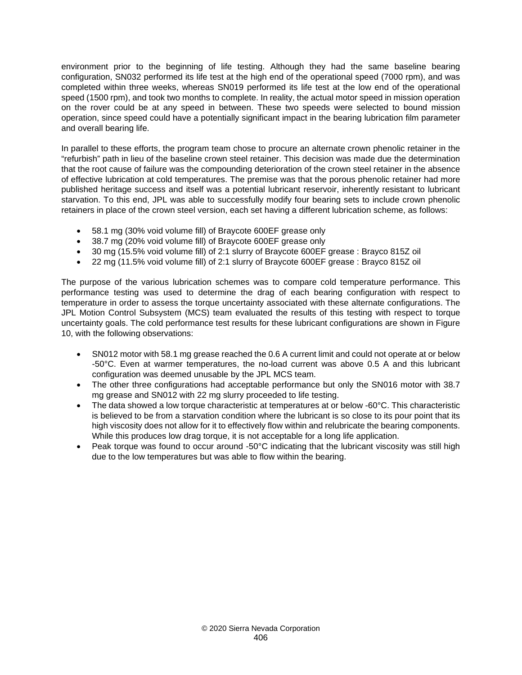environment prior to the beginning of life testing. Although they had the same baseline bearing configuration, SN032 performed its life test at the high end of the operational speed (7000 rpm), and was completed within three weeks, whereas SN019 performed its life test at the low end of the operational speed (1500 rpm), and took two months to complete. In reality, the actual motor speed in mission operation on the rover could be at any speed in between. These two speeds were selected to bound mission operation, since speed could have a potentially significant impact in the bearing lubrication film parameter and overall bearing life.

In parallel to these efforts, the program team chose to procure an alternate crown phenolic retainer in the "refurbish" path in lieu of the baseline crown steel retainer. This decision was made due the determination that the root cause of failure was the compounding deterioration of the crown steel retainer in the absence of effective lubrication at cold temperatures. The premise was that the porous phenolic retainer had more published heritage success and itself was a potential lubricant reservoir, inherently resistant to lubricant starvation. To this end, JPL was able to successfully modify four bearing sets to include crown phenolic retainers in place of the crown steel version, each set having a different lubrication scheme, as follows:

- 58.1 mg (30% void volume fill) of Braycote 600EF grease only
- 38.7 mg (20% void volume fill) of Braycote 600EF grease only
- 30 mg (15.5% void volume fill) of 2:1 slurry of Braycote 600EF grease : Brayco 815Z oil
- 22 mg (11.5% void volume fill) of 2:1 slurry of Braycote 600EF grease : Brayco 815Z oil

The purpose of the various lubrication schemes was to compare cold temperature performance. This performance testing was used to determine the drag of each bearing configuration with respect to temperature in order to assess the torque uncertainty associated with these alternate configurations. The JPL Motion Control Subsystem (MCS) team evaluated the results of this testing with respect to torque uncertainty goals. The cold performance test results for these lubricant configurations are shown in [Figure](#page-10-0)  [10,](#page-10-0) with the following observations:

- SN012 motor with 58.1 mg grease reached the 0.6 A current limit and could not operate at or below -50°C. Even at warmer temperatures, the no-load current was above 0.5 A and this lubricant configuration was deemed unusable by the JPL MCS team.
- The other three configurations had acceptable performance but only the SN016 motor with 38.7 mg grease and SN012 with 22 mg slurry proceeded to life testing.
- The data showed a low torque characteristic at temperatures at or below -60°C. This characteristic is believed to be from a starvation condition where the lubricant is so close to its pour point that its high viscosity does not allow for it to effectively flow within and relubricate the bearing components. While this produces low drag torque, it is not acceptable for a long life application.
- Peak torque was found to occur around -50°C indicating that the lubricant viscosity was still high due to the low temperatures but was able to flow within the bearing.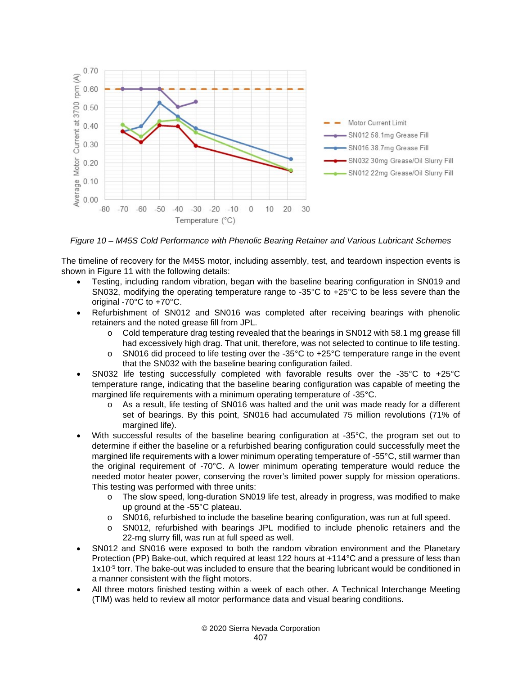

<span id="page-10-0"></span>*Figure 10 – M45S Cold Performance with Phenolic Bearing Retainer and Various Lubricant Schemes*

The timeline of recovery for the M45S motor, including assembly, test, and teardown inspection events is shown in [Figure 11](#page-11-0) with the following details:

- Testing, including random vibration, began with the baseline bearing configuration in SN019 and SN032, modifying the operating temperature range to -35°C to +25°C to be less severe than the original -70°C to +70°C.
- Refurbishment of SN012 and SN016 was completed after receiving bearings with phenolic retainers and the noted grease fill from JPL.
	- o Cold temperature drag testing revealed that the bearings in SN012 with 58.1 mg grease fill had excessively high drag. That unit, therefore, was not selected to continue to life testing.
	- $\circ$  SN016 did proceed to life testing over the -35°C to +25°C temperature range in the event that the SN032 with the baseline bearing configuration failed.
- SN032 life testing successfully completed with favorable results over the -35°C to +25°C temperature range, indicating that the baseline bearing configuration was capable of meeting the margined life requirements with a minimum operating temperature of -35°C.
	- o As a result, life testing of SN016 was halted and the unit was made ready for a different set of bearings. By this point, SN016 had accumulated 75 million revolutions (71% of margined life).
- With successful results of the baseline bearing configuration at -35°C, the program set out to determine if either the baseline or a refurbished bearing configuration could successfully meet the margined life requirements with a lower minimum operating temperature of -55°C, still warmer than the original requirement of -70°C. A lower minimum operating temperature would reduce the needed motor heater power, conserving the rover's limited power supply for mission operations. This testing was performed with three units:
	- o The slow speed, long-duration SN019 life test, already in progress, was modified to make up ground at the -55°C plateau.
	- o SN016, refurbished to include the baseline bearing configuration, was run at full speed.
	- o SN012, refurbished with bearings JPL modified to include phenolic retainers and the 22-mg slurry fill, was run at full speed as well.
- SN012 and SN016 were exposed to both the random vibration environment and the Planetary Protection (PP) Bake-out, which required at least 122 hours at +114°C and a pressure of less than 1x10-5 torr. The bake-out was included to ensure that the bearing lubricant would be conditioned in a manner consistent with the flight motors.
- All three motors finished testing within a week of each other. A Technical Interchange Meeting (TIM) was held to review all motor performance data and visual bearing conditions.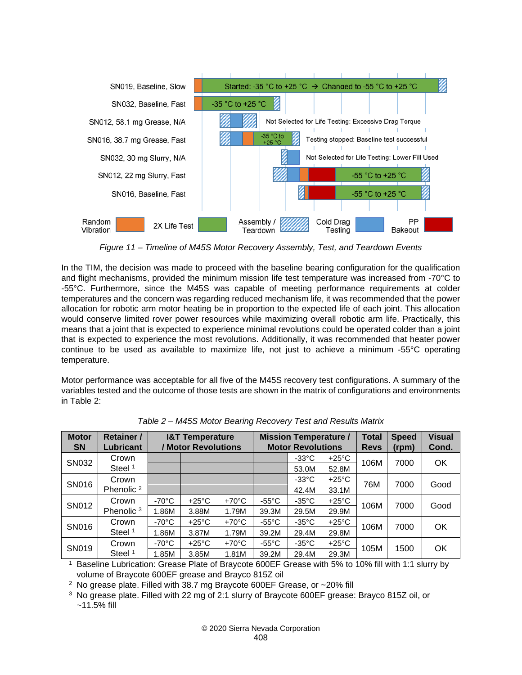

*Figure 11 – Timeline of M45S Motor Recovery Assembly, Test, and Teardown Events*

<span id="page-11-0"></span>In the TIM, the decision was made to proceed with the baseline bearing configuration for the qualification and flight mechanisms, provided the minimum mission life test temperature was increased from -70°C to -55°C. Furthermore, since the M45S was capable of meeting performance requirements at colder temperatures and the concern was regarding reduced mechanism life, it was recommended that the power allocation for robotic arm motor heating be in proportion to the expected life of each joint. This allocation would conserve limited rover power resources while maximizing overall robotic arm life. Practically, this means that a joint that is expected to experience minimal revolutions could be operated colder than a joint that is expected to experience the most revolutions. Additionally, it was recommended that heater power continue to be used as available to maximize life, not just to achieve a minimum -55°C operating temperature.

Motor performance was acceptable for all five of the M45S recovery test configurations. A summary of the variables tested and the outcome of those tests are shown in the matrix of configurations and environments in [Table 2:](#page-11-1)

<span id="page-11-1"></span>

| <b>Motor</b><br><b>SN</b> | <b>Retainer /</b><br>Lubricant | <b>I&amp;T Temperature</b><br>/ Motor Revolutions |                 |                 | <b>Mission Temperature /</b><br><b>Motor Revolutions</b> |                 |                 | <b>Total</b><br><b>Revs</b> | <b>Speed</b><br>(rpm) | <b>Visual</b><br>Cond. |
|---------------------------|--------------------------------|---------------------------------------------------|-----------------|-----------------|----------------------------------------------------------|-----------------|-----------------|-----------------------------|-----------------------|------------------------|
| SN032                     | Crown                          |                                                   |                 |                 |                                                          | $-33^{\circ}$ C | $+25^{\circ}$ C | 106M                        | 7000                  | <b>OK</b>              |
|                           | Steel <sup>1</sup>             |                                                   |                 |                 |                                                          | 53.0M           | 52.8M           |                             |                       |                        |
| SN016                     | Crown                          |                                                   |                 |                 |                                                          | $-33^{\circ}$ C | $+25^{\circ}$ C | 76M                         | 7000                  | Good                   |
|                           | Phenolic <sup>2</sup>          |                                                   |                 |                 |                                                          | 42.4M           | 33.1M           |                             |                       |                        |
| SN012                     | Crown                          | -70 $^{\circ}$ C                                  | $+25^{\circ}$ C | $+70^{\circ}$ C | $-55^{\circ}$ C                                          | $-35^{\circ}$ C | $+25^{\circ}$ C | 106M                        | 7000                  | Good                   |
|                           | Phenolic <sup>3</sup>          | 1.86M                                             | 3.88M           | 1.79M           | 39.3M                                                    | 29.5M           | 29.9M           |                             |                       |                        |
| SN016                     | Crown                          | $-70^{\circ}$ C                                   | $+25^{\circ}$ C | $+70^{\circ}$ C | $-55^{\circ}$ C                                          | $-35^{\circ}$ C | $+25^{\circ}$ C | 106M                        | 7000                  | <b>OK</b>              |
|                           | Steel <sup>1</sup>             | 1.86M                                             | 3.87M           | 1.79M           | 39.2M                                                    | 29.4M           | 29.8M           |                             |                       |                        |
| SN019                     | Crown                          | $-70^{\circ}$ C                                   | $+25^{\circ}$ C | $+70^{\circ}$ C | $-55^{\circ}$ C                                          | $-35^{\circ}$ C | $+25^{\circ}$ C | 105M                        | 1500                  | <b>OK</b>              |
|                           | Steel <sup>1</sup>             | 1.85M                                             | 3.85M           | 1.81M           | 39.2M                                                    | 29.4M           | 29.3M           |                             |                       |                        |

*Table 2 – M45S Motor Bearing Recovery Test and Results Matrix*

<sup>1</sup> Baseline Lubrication: Grease Plate of Braycote 600EF Grease with 5% to 10% fill with 1:1 slurry by volume of Braycote 600EF grease and Brayco 815Z oil

<sup>2</sup> No grease plate. Filled with 38.7 mg Braycote 600EF Grease, or ~20% fill

<sup>3</sup> No grease plate. Filled with 22 mg of 2:1 slurry of Braycote 600EF grease: Brayco 815Z oil, or ~11.5% fill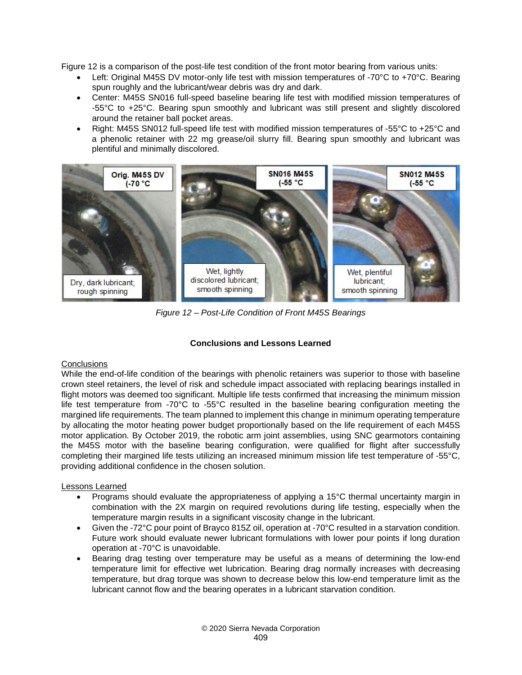[Figure 12](#page-12-0) is a comparison of the post-life test condition of the front motor bearing from various units:

- Left: Original M45S DV motor-only life test with mission temperatures of -70°C to +70°C. Bearing spun roughly and the lubricant/wear debris was dry and dark.
- Center: M45S SN016 full-speed baseline bearing life test with modified mission temperatures of -55°C to +25°C. Bearing spun smoothly and lubricant was still present and slightly discolored around the retainer ball pocket areas.
- Right: M45S SN012 full-speed life test with modified mission temperatures of -55°C to +25°C and a phenolic retainer with 22 mg grease/oil slurry fill. Bearing spun smoothly and lubricant was plentiful and minimally discolored.

<span id="page-12-0"></span>

*Figure 12 – Post-Life Condition of Front M45S Bearings*

## **Conclusions and Lessons Learned**

### **Conclusions**

While the end-of-life condition of the bearings with phenolic retainers was superior to those with baseline crown steel retainers, the level of risk and schedule impact associated with replacing bearings installed in flight motors was deemed too significant. Multiple life tests confirmed that increasing the minimum mission life test temperature from -70°C to -55°C resulted in the baseline bearing configuration meeting the margined life requirements. The team planned to implement this change in minimum operating temperature by allocating the motor heating power budget proportionally based on the life requirement of each M45S motor application. By October 2019, the robotic arm joint assemblies, using SNC gearmotors containing the M45S motor with the baseline bearing configuration, were qualified for flight after successfully completing their margined life tests utilizing an increased minimum mission life test temperature of -55°C, providing additional confidence in the chosen solution.

### Lessons Learned

- Programs should evaluate the appropriateness of applying a 15°C thermal uncertainty margin in combination with the 2X margin on required revolutions during life testing, especially when the temperature margin results in a significant viscosity change in the lubricant.
- Given the -72°C pour point of Brayco 815Z oil, operation at -70°C resulted in a starvation condition. Future work should evaluate newer lubricant formulations with lower pour points if long duration operation at -70°C is unavoidable.
- Bearing drag testing over temperature may be useful as a means of determining the low-end temperature limit for effective wet lubrication. Bearing drag normally increases with decreasing temperature, but drag torque was shown to decrease below this low-end temperature limit as the lubricant cannot flow and the bearing operates in a lubricant starvation condition.